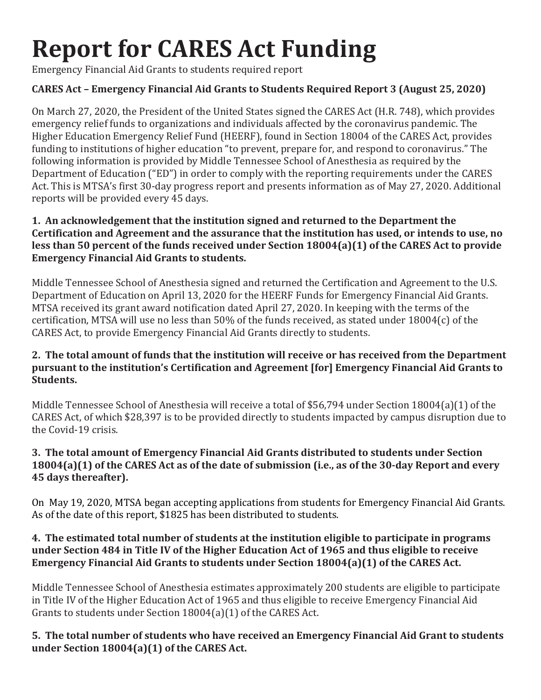# **Report for CARES Act Funding**

Emergency Financial Aid Grants to students required report

# **CARES Act – Emergency Financial Aid Grants to Students Required Report 3 (August 25, 2020)**

On March 27, 2020, the President of the United States signed the CARES Act (H.R. 748), which provides emergency relief funds to organizations and individuals affected by the coronavirus pandemic. The Higher Education Emergency Relief Fund (HEERF), found in Section 18004 of the CARES Act, provides funding to institutions of higher education "to prevent, prepare for, and respond to coronavirus." The following information is provided by Middle Tennessee School of Anesthesia as required by the Department of Education ("ED") in order to comply with the reporting requirements under the CARES Act. This is MTSA's first 30-day progress report and presents information as of May 27, 2020. Additional reports will be provided every 45 days.

#### **1. An acknowledgement that the institution signed and returned to the Department the Certification and Agreement and the assurance that the institution has used, or intends to use, no less than 50 percent of the funds received under Section 18004(a)(1) of the CARES Act to provide Emergency Financial Aid Grants to students.**

Middle Tennessee School of Anesthesia signed and returned the Certification and Agreement to the U.S. Department of Education on April 13, 2020 for the HEERF Funds for Emergency Financial Aid Grants. MTSA received its grant award notification dated April 27, 2020. In keeping with the terms of the certification, MTSA will use no less than 50% of the funds received, as stated under 18004(c) of the CARES Act, to provide Emergency Financial Aid Grants directly to students.

### **2. The total amount of funds that the institution will receive or has received from the Department pursuant to the institution's Certification and Agreement [for] Emergency Financial Aid Grants to Students.**

Middle Tennessee School of Anesthesia will receive a total of \$56,794 under Section 18004(a)(1) of the CARES Act, of which \$28,397 is to be provided directly to students impacted by campus disruption due to the Covid-19 crisis.

# **3. The total amount of Emergency Financial Aid Grants distributed to students under Section 18004(a)(1) of the CARES Act as of the date of submission (i.e., as of the 30-day Report and every 45 days thereafter).**

On May 19, 2020, MTSA began accepting applications from students for Emergency Financial Aid Grants. As of the date of this report, \$1825 has been distributed to students.

### **4. The estimated total number of students at the institution eligible to participate in programs under Section 484 in Title IV of the Higher Education Act of 1965 and thus eligible to receive Emergency Financial Aid Grants to students under Section 18004(a)(1) of the CARES Act.**

Middle Tennessee School of Anesthesia estimates approximately 200 students are eligible to participate in Title IV of the Higher Education Act of 1965 and thus eligible to receive Emergency Financial Aid Grants to students under Section 18004(a)(1) of the CARES Act.

# **5. The total number of students who have received an Emergency Financial Aid Grant to students under Section 18004(a)(1) of the CARES Act.**